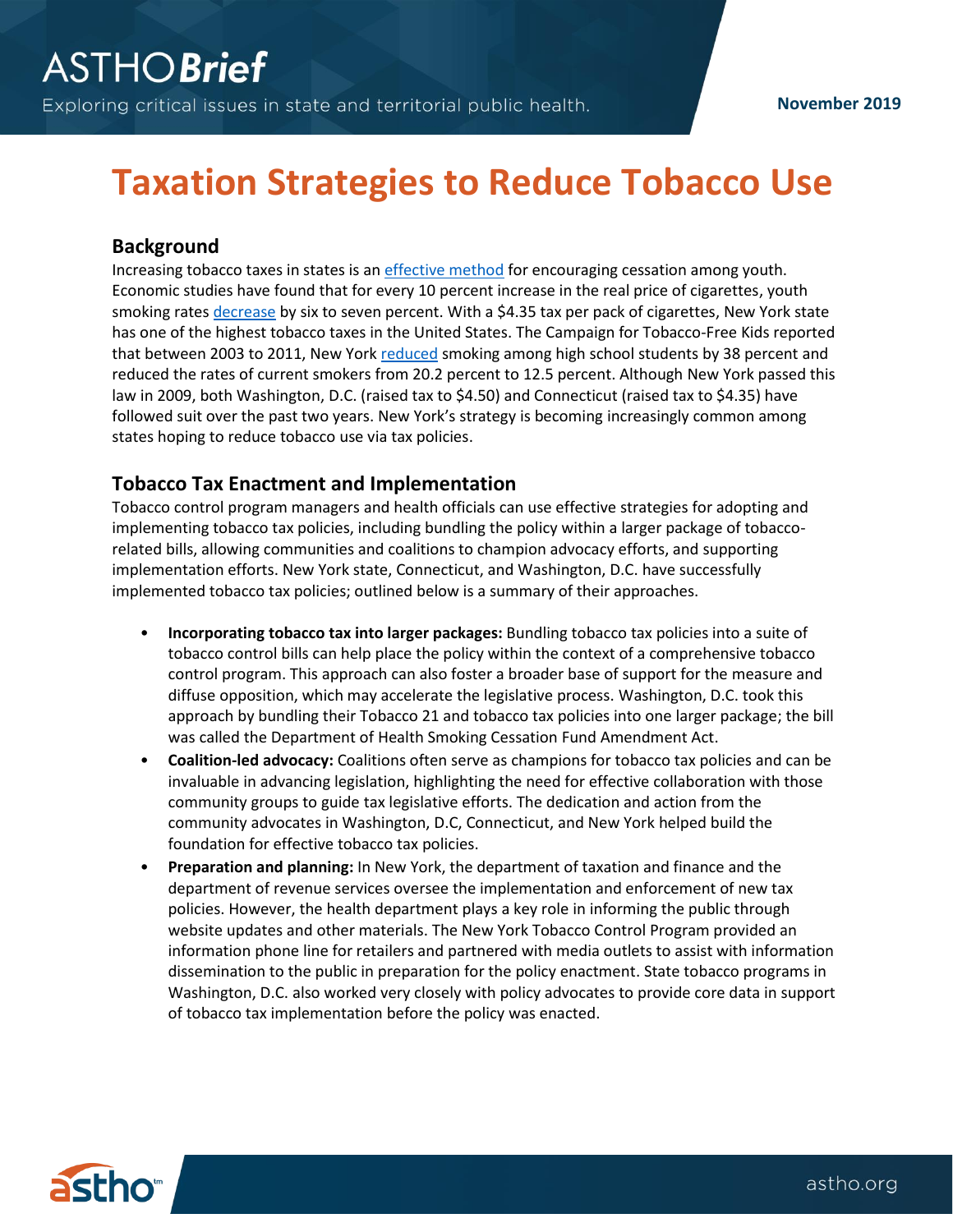# **Taxation Strategies to Reduce Tobacco Use**

### **Background**

Increasing tobacco taxes in states is an [effective method](https://www.ncbi.nlm.nih.gov/pmc/articles/PMC2930051/) for encouraging cessation among youth. Economic studies have found that for every 10 percent increase in the real price of cigarettes, youth smoking rates [decrease](https://www.tobaccofreekids.org/assets/factsheets/0146.pdf) by six to seven percent. With a \$4.35 tax per pack of cigarettes, New York state has one of the highest tobacco taxes in the United States. The Campaign for Tobacco-Free Kids reported that between 2003 to 2011, New York [reduced](https://www.tobaccofreekids.org/press-releases/2012_09_20_ny) smoking among high school students by 38 percent and reduced the rates of current smokers from 20.2 percent to 12.5 percent. Although New York passed this law in 2009, both Washington, D.C. (raised tax to \$4.50) and Connecticut (raised tax to \$4.35) have followed suit over the past two years. New York's strategy is becoming increasingly common among states hoping to reduce tobacco use via tax policies.

#### **Tobacco Tax Enactment and Implementation**

Tobacco control program managers and health officials can use effective strategies for adopting and implementing tobacco tax policies, including bundling the policy within a larger package of tobaccorelated bills, allowing communities and coalitions to champion advocacy efforts, and supporting implementation efforts. New York state, Connecticut, and Washington, D.C. have successfully implemented tobacco tax policies; outlined below is a summary of their approaches.

- **Incorporating tobacco tax into larger packages:** Bundling tobacco tax policies into a suite of tobacco control bills can help place the policy within the context of a comprehensive tobacco control program. This approach can also foster a broader base of support for the measure and diffuse opposition, which may accelerate the legislative process. Washington, D.C. took this approach by bundling their Tobacco 21 and tobacco tax policies into one larger package; the bill was called the Department of Health Smoking Cessation Fund Amendment Act.
- **Coalition-led advocacy:** Coalitions often serve as champions for tobacco tax policies and can be invaluable in advancing legislation, highlighting the need for effective collaboration with those community groups to guide tax legislative efforts. The dedication and action from the community advocates in Washington, D.C, Connecticut, and New York helped build the foundation for effective tobacco tax policies.
- **Preparation and planning:** In New York, the department of taxation and finance and the department of revenue services oversee the implementation and enforcement of new tax policies. However, the health department plays a key role in informing the public through website updates and other materials. The New York Tobacco Control Program provided an information phone line for retailers and partnered with media outlets to assist with information dissemination to the public in preparation for the policy enactment. State tobacco programs in Washington, D.C. also worked very closely with policy advocates to provide core data in support of tobacco tax implementation before the policy was enacted.